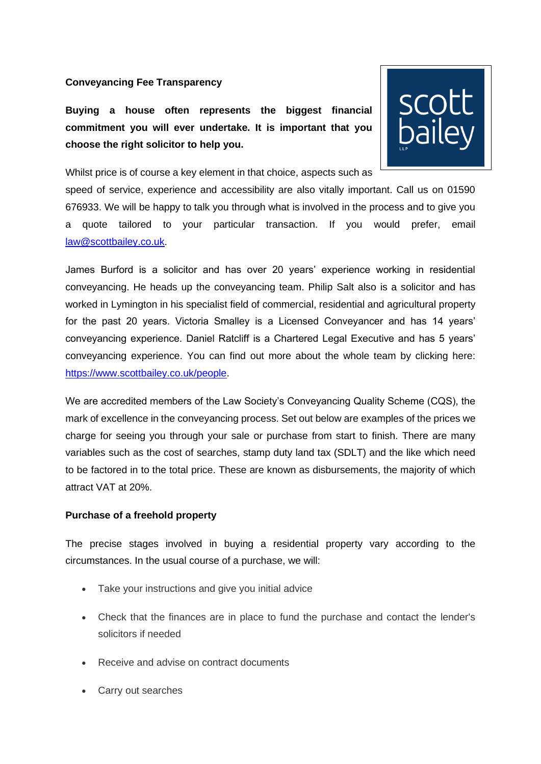#### **Conveyancing Fee Transparency**

**Buying a house often represents the biggest financial commitment you will ever undertake. It is important that you choose the right solicitor to help you.**



Whilst price is of course a key element in that choice, aspects such as

speed of service, experience and accessibility are also vitally important. Call us on 01590 676933. We will be happy to talk you through what is involved in the process and to give you a quote tailored to your particular transaction. If you would prefer, email [law@scottbailey.co.uk.](mailto:law@scottbailey.co.uk)

James Burford is a solicitor and has over 20 years' experience working in residential conveyancing. He heads up the conveyancing team. Philip Salt also is a solicitor and has worked in Lymington in his specialist field of commercial, residential and agricultural property for the past 20 years. Victoria Smalley is a Licensed Conveyancer and has 14 years' conveyancing experience. Daniel Ratcliff is a Chartered Legal Executive and has 5 years' conveyancing experience. You can find out more about the whole team by clicking here: [https://www.scottbailey.co.uk/people.](https://www.scottbailey.co.uk/people)

We are accredited members of the Law Society's Conveyancing Quality Scheme (CQS), the mark of excellence in the conveyancing process. Set out below are examples of the prices we charge for seeing you through your sale or purchase from start to finish. There are many variables such as the cost of searches, stamp duty land tax (SDLT) and the like which need to be factored in to the total price. These are known as disbursements, the majority of which attract VAT at 20%.

#### **Purchase of a freehold property**

The precise stages involved in buying a residential property vary according to the circumstances. In the usual course of a purchase, we will:

- Take your instructions and give you initial advice
- Check that the finances are in place to fund the purchase and contact the lender's solicitors if needed
- Receive and advise on contract documents
- Carry out searches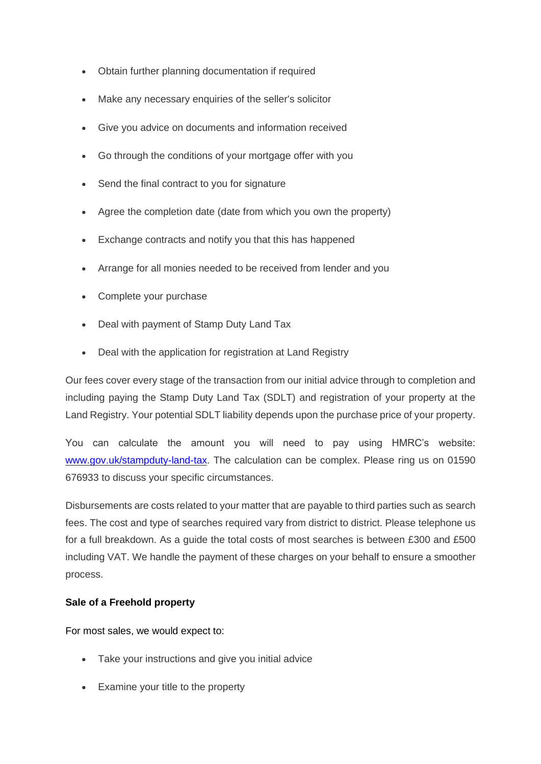- Obtain further planning documentation if required
- Make any necessary enquiries of the seller's solicitor
- Give you advice on documents and information received
- Go through the conditions of your mortgage offer with you
- Send the final contract to you for signature
- Agree the completion date (date from which you own the property)
- Exchange contracts and notify you that this has happened
- Arrange for all monies needed to be received from lender and you
- Complete your purchase
- Deal with payment of Stamp Duty Land Tax
- Deal with the application for registration at Land Registry

Our fees cover every stage of the transaction from our initial advice through to completion and including paying the Stamp Duty Land Tax (SDLT) and registration of your property at the Land Registry. Your potential SDLT liability depends upon the purchase price of your property.

You can calculate the amount you will need to pay using HMRC's website: [www.gov.uk/stampduty-land-tax.](http://www.gov.uk/stampduty-land-tax) The calculation can be complex. Please ring us on 01590 676933 to discuss your specific circumstances.

Disbursements are costs related to your matter that are payable to third parties such as search fees. The cost and type of searches required vary from district to district. Please telephone us for a full breakdown. As a guide the total costs of most searches is between £300 and £500 including VAT. We handle the payment of these charges on your behalf to ensure a smoother process.

# **Sale of a Freehold property**

For most sales, we would expect to:

- Take your instructions and give you initial advice
- Examine your title to the property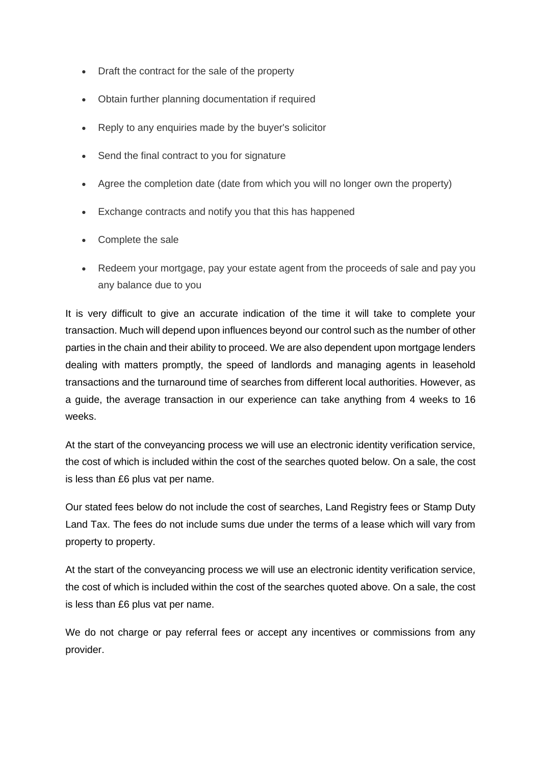- Draft the contract for the sale of the property
- Obtain further planning documentation if required
- Reply to any enquiries made by the buyer's solicitor
- Send the final contract to you for signature
- Agree the completion date (date from which you will no longer own the property)
- Exchange contracts and notify you that this has happened
- Complete the sale
- Redeem your mortgage, pay your estate agent from the proceeds of sale and pay you any balance due to you

It is very difficult to give an accurate indication of the time it will take to complete your transaction. Much will depend upon influences beyond our control such as the number of other parties in the chain and their ability to proceed. We are also dependent upon mortgage lenders dealing with matters promptly, the speed of landlords and managing agents in leasehold transactions and the turnaround time of searches from different local authorities. However, as a guide, the average transaction in our experience can take anything from 4 weeks to 16 weeks.

At the start of the conveyancing process we will use an electronic identity verification service, the cost of which is included within the cost of the searches quoted below. On a sale, the cost is less than £6 plus vat per name.

Our stated fees below do not include the cost of searches, Land Registry fees or Stamp Duty Land Tax. The fees do not include sums due under the terms of a lease which will vary from property to property.

At the start of the conveyancing process we will use an electronic identity verification service, the cost of which is included within the cost of the searches quoted above. On a sale, the cost is less than £6 plus vat per name.

We do not charge or pay referral fees or accept any incentives or commissions from any provider.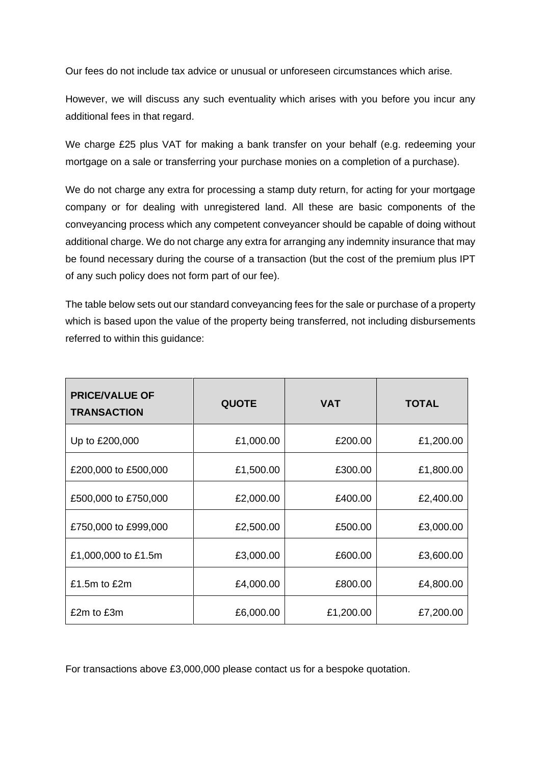Our fees do not include tax advice or unusual or unforeseen circumstances which arise.

However, we will discuss any such eventuality which arises with you before you incur any additional fees in that regard.

We charge £25 plus VAT for making a bank transfer on your behalf (e.g. redeeming your mortgage on a sale or transferring your purchase monies on a completion of a purchase).

We do not charge any extra for processing a stamp duty return, for acting for your mortgage company or for dealing with unregistered land. All these are basic components of the conveyancing process which any competent conveyancer should be capable of doing without additional charge. We do not charge any extra for arranging any indemnity insurance that may be found necessary during the course of a transaction (but the cost of the premium plus IPT of any such policy does not form part of our fee).

The table below sets out our standard conveyancing fees for the sale or purchase of a property which is based upon the value of the property being transferred, not including disbursements referred to within this guidance:

| <b>PRICE/VALUE OF</b><br><b>TRANSACTION</b> | <b>QUOTE</b> | <b>VAT</b> | <b>TOTAL</b> |
|---------------------------------------------|--------------|------------|--------------|
| Up to £200,000                              | £1,000.00    | £200.00    | £1,200.00    |
| £200,000 to £500,000                        | £1,500.00    | £300.00    | £1,800.00    |
| £500,000 to £750,000                        | £2,000.00    | £400.00    | £2,400.00    |
| £750,000 to £999,000                        | £2,500.00    | £500.00    | £3,000.00    |
| £1,000,000 to £1.5m                         | £3,000.00    | £600.00    | £3,600.00    |
| £1.5 $m$ to £2 $m$                          | £4,000.00    | £800.00    | £4,800.00    |
| £2m to £3m                                  | £6,000.00    | £1,200.00  | £7,200.00    |

For transactions above £3,000,000 please contact us for a bespoke quotation.